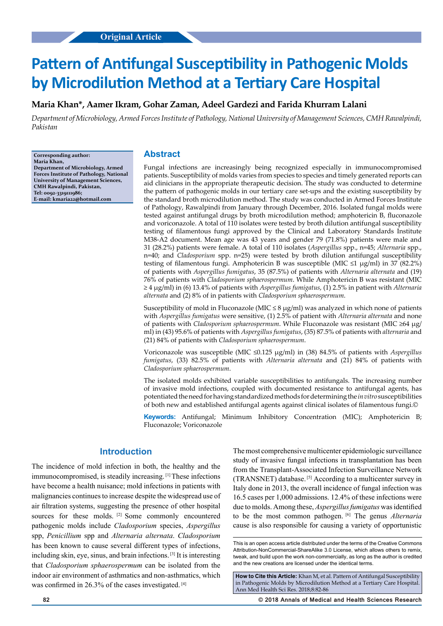# **Pattern of Antifungal Susceptibility in Pathogenic Molds by Microdilution Method at a Tertiary Care Hospital**

# **Maria Khan\*, Aamer Ikram, Gohar Zaman, Adeel Gardezi and Farida Khurram Lalani**

*Department of Microbiology, Armed Forces Institute of Pathology, National University of Management Sciences, CMH Rawalpindi, Pakistan*

**Corresponding author: Maria Khan, Department of Microbiology, Armed Forces Institute of Pathology, National University of Management Sciences, CMH Rawalpindi, Pakistan, Tel: 0092-3319111986; E-mail: kmaria22@hotmail.com**

#### **Abstract**

Fungal infections are increasingly being recognized especially in immunocompromised patients. Susceptibility of molds varies from species to species and timely generated reports can aid clinicians in the appropriate therapeutic decision. The study was conducted to determine the pattern of pathogenic molds in our tertiary care set-ups and the existing susceptibility by the standard broth microdilution method. The study was conducted in Armed Forces Institute of Pathology, Rawalpindi from January through December, 2016. Isolated fungal molds were tested against antifungal drugs by broth microdilution method; amphotericin B, fluconazole and voriconazole. A total of 110 isolates were tested by broth dilution antifungal susceptibility testing of filamentous fungi approved by the Clinical and Laboratory Standards Institute M38-A2 document. Mean age was 43 years and gender 79 (71.8%) patients were male and 31 (28.2%) patients were female. A total of 110 isolates (*Aspergillus* spp., n=45; *Alternaria* spp., n=40; and *Cladosporium* spp. n=25) were tested by broth dilution antifungal susceptibility testing of filamentous fungi. Amphotericin B was susceptible (MIC ≤1 µg/ml) in 37 (82.2%) of patients with *Aspergillus fumigatus*, 35 (87.5%) of patients with *Alternaria alternata* and (19) 76% of patients with *Cladosporium sphaerospermum*. While Amphotericin B was resistant (MIC ≥ 4 µg/ml) in (6) 13.4% of patients with *Aspergillus fumigatus*, (1) 2.5% in patient with *Alternaria alternata* and (2) 8% of in patients with *Cladosporium sphaerospermum*.

Susceptibility of mold in Fluconazole (MIC  $\leq$  8  $\mu$ g/ml) was analyzed in which none of patients with *Aspergillus fumigatus* were sensitive, (1) 2.5% of patient with *Alternaria alternata* and none of patients with *Cladosporium sphaerospermum*. While Fluconazole was resistant (MIC ≥64 µg/ ml) in (43) 95.6% of patients with *Aspergillus fumigatus*, (35) 87.5% of patients with *alternaria* and (21) 84% of patients with *Cladosporium sphaerospermum*.

Voriconazole was susceptible (MIC ≤0.125 µg/ml) in (38) 84.5% of patients with *Aspergillus fumigatus*, (33) 82.5% of patients with *Alternaria alternata* and (21) 84% of patients with *Cladosporium sphaerospermum*.

The isolated molds exhibited variable susceptibilities to antifungals. The increasing number of invasive mold infections, coupled with documented resistance to antifungal agents, has potentiated the need for having standardized methods for determining the *in vitro* susceptibilities of both new and established antifungal agents against clinical isolates of filamentous fungi.©

**Keywords:** Antifungal; Minimum Inhibitory Concentration (MIC); Amphotericin B; Fluconazole; Voriconazole

## **Introduction**

The incidence of mold infection in both, the healthy and the immunocompromised, is steadily increasing. [1] These infections have become a health nuisance; mold infections in patients with malignancies continues to increase despite the widespread use of air filtration systems, suggesting the presence of other hospital sources for these molds. <sup>[2]</sup> Some commonly encountered pathogenic molds include *Cladosporium* species, *Aspergillus* spp, *Penicillium* spp and *Alternaria alternata*. *Cladosporium* has been known to cause several different types of infections, including skin, eye, sinus, and brain infections. [3] It is interesting that *Cladosporium sphaerospermum* can be isolated from the indoor air environment of asthmatics and non-asthmatics, which was confirmed in 26.3% of the cases investigated. [4]

The most comprehensive multicenter epidemiologic surveillance study of invasive fungal infections in transplantation has been from the Transplant-Associated Infection Surveillance Network (TRANSNET) database. [5] According to a multicenter survey in Italy done in 2013, the overall incidence of fungal infection was 16.5 cases per 1,000 admissions. 12.4% of these infections were due to molds. Among these, *Aspergillus fumigatus* was identified to be the most common pathogen. [6] The genus *Alternaria* cause is also responsible for causing a variety of opportunistic

**How to Cite this Article:** Khan M, et al. Pattern of Antifungal Susceptibility in Pathogenic Molds by Microdilution Method at a Tertiary Care Hospital. Ann Med Health Sci Res. 2018;8:82-86

**82 © 2018 Annals of Medical and Health Sciences Research** 

This is an open access article distributed under the terms of the Creative Commons Attribution-NonCommercial-ShareAlike 3.0 License, which allows others to remix, tweak, and build upon the work non‑commercially, as long as the author is credited and the new creations are licensed under the identical terms.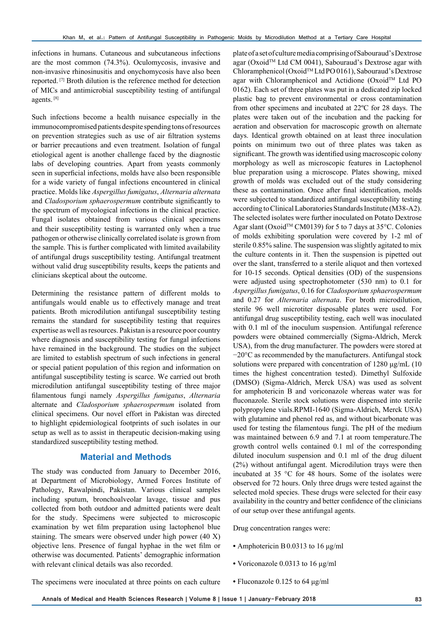infections in humans. Cutaneous and subcutaneous infections are the most common (74.3%). Oculomycosis, invasive and non-invasive rhinosinusitis and onychomycosis have also been reported. [7] Broth dilution is the reference method for detection of MICs and antimicrobial susceptibility testing of antifungal agents. [8]

Such infections become a health nuisance especially in the immunocompromised patients despite spending tons of resources on prevention strategies such as use of air filtration systems or barrier precautions and even treatment. Isolation of fungal etiological agent is another challenge faced by the diagnostic labs of developing countries. Apart from yeasts commonly seen in superficial infections, molds have also been responsible for a wide variety of fungal infections encountered in clinical practice. Molds like *Aspergillus fumigatus*, *Alternaria alternata* and *Cladosporium sphaerospermum* contribute significantly to the spectrum of mycological infections in the clinical practice. Fungal isolates obtained from various clinical specimens and their susceptibility testing is warranted only when a true pathogen or otherwise clinically correlated isolate is grown from the sample. This is further complicated with limited availability of antifungal drugs susceptibility testing. Antifungal treatment without valid drug susceptibility results, keeps the patients and clinicians skeptical about the outcome.

Determining the resistance pattern of different molds to antifungals would enable us to effectively manage and treat patients. Broth microdilution antifungal susceptibility testing remains the standard for susceptibility testing that requires expertise as well as resources. Pakistan is a resource poor country where diagnosis and susceptibility testing for fungal infections have remained in the background. The studies on the subject are limited to establish spectrum of such infections in general or special patient population of this region and information on antifungal susceptibility testing is scarce. We carried out broth microdilution antifungal susceptibility testing of three major filamentous fungi namely *Aspergillus fumigatus*, *Alternaria* alternate and *Cladosporium sphaerospermum* isolated from clinical specimens. Our novel effort in Pakistan was directed to highlight epidemiological footprints of such isolates in our setup as well as to assist in therapeutic decision-making using standardized susceptibility testing method.

### **Material and Methods**

The study was conducted from January to December 2016, at Department of Microbiology, Armed Forces Institute of Pathology, Rawalpindi, Pakistan. Various clinical samples including sputum, bronchoalveolar lavage, tissue and pus collected from both outdoor and admitted patients were dealt for the study. Specimens were subjected to microscopic examination by wet film preparation using lactophenol blue staining. The smears were observed under high power (40 X) objective lens. Presence of fungal hyphae in the wet film or otherwise was documented. Patients' demographic information with relevant clinical details was also recorded.

plate of a set of culture media comprising of Sabouraud's Dextrose agar (Oxoid<sup>TM</sup> Ltd CM 0041), Sabouraud's Dextrose agar with Chloramphenicol (OxoidTM Ltd PO 0161), Sabouraud's Dextrose agar with Chloramphenicol and Actidione (Oxoid™ Ltd PO 0162). Each set of three plates was put in a dedicated zip locked plastic bag to prevent environmental or cross contamination from other specimens and incubated at 22ºC for 28 days. The plates were taken out of the incubation and the packing for aeration and observation for macroscopic growth on alternate days. Identical growth obtained on at least three inoculation points on minimum two out of three plates was taken as significant. The growth was identified using macroscopic colony morphology as well as microscopic features in Lactophenol blue preparation using a microscope. Plates showing, mixed growth of molds was excluded out of the study considering these as contamination. Once after final identification, molds were subjected to standardized antifungal susceptibility testing according to Clinical Laboratories Standards Institute (M38-A2). The selected isolates were further inoculated on Potato Dextrose Agar slant (Oxoid™ CM0139) for 5 to 7 days at 35°C. Colonies of molds exhibiting sporulation were covered by 1-2 ml of sterile 0.85% saline. The suspension was slightly agitated to mix the culture contents in it. Then the suspension is pipetted out over the slant, transferred to a sterile aliquot and then vortexed for 10-15 seconds. Optical densities (OD) of the suspensions were adjusted using spectrophotometer (530 nm) to 0.1 for *Aspergillus fumigatus*, 0.16 for *Cladosporium sphaerospermum* and 0.27 for *Alternaria alternata*. For broth microdilution, sterile 96 well microtiter disposable plates were used. For antifungal drug susceptibility testing, each well was inoculated with 0.1 ml of the inoculum suspension. Antifungal reference powders were obtained commercially (Sigma-Aldrich, Merck USA), from the drug manufacturer. The powders were stored at −20°C as recommended by the manufacturers. Antifungal stock solutions were prepared with concentration of 1280 μg/mL (10 times the highest concentration tested). Dimethyl Sulfoxide (DMSO) (Sigma-Aldrich, Merck USA) was used as solvent for amphotericin B and voriconazole whereas water was for fluconazole. Sterile stock solutions were dispensed into sterile polypropylene vials.RPMI-1640 (Sigma-Aldrich, Merck USA) with glutamine and phenol red as, and without bicarbonate was used for testing the filamentous fungi. The pH of the medium was maintained between 6.9 and 7.1 at room temperature.The growth control wells contained 0.1 ml of the corresponding diluted inoculum suspension and 0.1 ml of the drug diluent (2%) without antifungal agent. Microdilution trays were then incubated at 35 °C for 48 hours. Some of the isolates were observed for 72 hours. Only three drugs were tested against the selected mold species. These drugs were selected for their easy availability in the country and better confidence of the clinicians of our setup over these antifungal agents.

Drug concentration ranges were:

- Amphotericin B0.0313 to 16 μg/ml
- Voriconazole 0.0313 to 16 μg/ml
- Fluconazole 0.125 to 64 μg/ml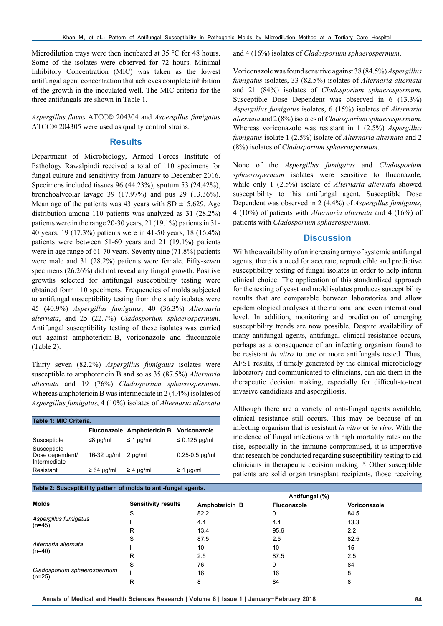Microdilution trays were then incubated at 35 °C for 48 hours. Some of the isolates were observed for 72 hours. Minimal Inhibitory Concentration (MIC) was taken as the lowest antifungal agent concentration that achieves complete inhibition of the growth in the inoculated well. The MIC criteria for the three antifungals are shown in Table 1.

*Aspergillus flavus* ATCC® 204304 and *Aspergillus fumigatus* ATCC® 204305 were used as quality control strains.

## **Results**

Department of Microbiology, Armed Forces Institute of Pathology Rawalpindi received a total of 110 specimens for fungal culture and sensitivity from January to December 2016. Specimens included tissues 96 (44.23%), sputum 53 (24.42%), bronchoalveolar lavage 39 (17.97%) and pus 29 (13.36%). Mean age of the patients was 43 years with SD  $\pm$ 15.629. Age distribution among 110 patients was analyzed as 31 (28.2%) patients were in the range 20-30 years, 21 (19.1%) patients in 31- 40 years, 19 (17.3%) patients were in 41-50 years, 18 (16.4%) patients were between 51-60 years and 21 (19.1%) patients were in age range of 61-70 years. Seventy nine (71.8%) patients were male and 31 (28.2%) patients were female. Fifty-seven specimens (26.26%) did not reveal any fungal growth. Positive growths selected for antifungal susceptibility testing were obtained form 110 specimens. Frequencies of molds subjected to antifungal susceptibility testing from the study isolates were 45 (40.9%) *Aspergillus fumigatus*, 40 (36.3%) *Alternaria alternata*, and 25 (22.7%) *Cladosporium sphaerospermum*. Antifungal susceptibility testing of these isolates was carried out against amphotericin-B, voriconazole and fluconazole (Table 2).

Thirty seven (82.2%) *Aspergillus fumigatus* isolates were susceptible to amphotericin B and so as 35 (87.5%) *Alternaria alternata* and 19 (76%) *Cladosporium sphaerospermum*. Whereas amphotericin B was intermediate in 2 (4.4%) isolates of *Aspergillus fumigatus*, 4 (10%) isolates of *Alternaria alternata*

| Table 1: MIC Criteria.                         |                  |                                   |                    |  |  |  |
|------------------------------------------------|------------------|-----------------------------------|--------------------|--|--|--|
|                                                |                  | <b>Fluconazole Amphotericin B</b> | Voriconazole       |  |  |  |
| Susceptible                                    | $\leq$ 8 µg/ml   | $\leq$ 1 µg/ml                    | $\leq$ 0.125 µg/ml |  |  |  |
| Susceptible<br>Dose dependent/<br>Intermediate | $16-32 \mu q/ml$ | $2 \mu q/ml$                      | $0.25 - 0.5$ µg/ml |  |  |  |
| Resistant                                      | $\geq 64$ µg/ml  | $\geq 4$ µg/ml                    | $\geq 1$ µg/ml     |  |  |  |

**Table 2: Susceptibility pattern of molds to anti-fungal agents.**

and 4 (16%) isolates of *Cladosporium sphaerospermum*.

Voriconazole was found sensitive against 38 (84.5%) *Aspergillus fumigatus* isolates, 33 (82.5%) isolates of *Alternaria alternata* and 21 (84%) isolates of *Cladosporium sphaerospermum*. Susceptible Dose Dependent was observed in 6 (13.3%) *Aspergillus fumigatus* isolates, 6 (15%) isolates of *Alternaria alternata* and 2 (8%) isolates of *Cladosporium sphaerospermum*. Whereas voriconazole was resistant in 1 (2.5%) *Aspergillus fumigatus* isolate 1 (2.5%) isolate of *Alternaria alternata* and 2 (8%) isolates of *Cladosporium sphaerospermum*.

None of the *Aspergillus fumigatus* and *Cladosporium sphaerospermum* isolates were sensitive to fluconazole, while only 1 (2.5%) isolate of *Alternaria alternata* showed susceptibility to this antifungal agent. Susceptible Dose Dependent was observed in 2 (4.4%) of *Aspergillus fumigatus*, 4 (10%) of patients with *Alternaria alternata* and 4 (16%) of patients with *Cladosporium sphaerospermum*.

## **Discussion**

With the availability of an increasing array of systemic antifungal agents, there is a need for accurate, reproducible and predictive susceptibility testing of fungal isolates in order to help inform clinical choice. The application of this standardized approach for the testing of yeast and mold isolates produces susceptibility results that are comparable between laboratories and allow epidemiological analyses at the national and even international level. In addition, monitoring and prediction of emerging susceptibility trends are now possible. Despite availability of many antifungal agents, antifungal clinical resistance occurs, perhaps as a consequence of an infecting organism found to be resistant *in vitro* to one or more antifungals tested. Thus, AFST results, if timely generated by the clinical microbiology laboratory and communicated to clinicians, can aid them in the therapeutic decision making, especially for difficult-to-treat invasive candidiasis and aspergillosis.

Although there are a variety of anti-fungal agents available, clinical resistance still occurs. This may be because of an infecting organism that is resistant *in vitro* or *in vivo*. With the incidence of fungal infections with high mortality rates on the rise, especially in the immune compromised, it is imperative that research be conducted regarding susceptibility testing to aid clinicians in therapeutic decision making. [9] Other susceptible patients are solid organ transplant recipients, those receiving

| <b>Tasto El Subbelgionity pattern of morae to anti-fangal agontol</b> |                |                    |                  |  |  |  |
|-----------------------------------------------------------------------|----------------|--------------------|------------------|--|--|--|
|                                                                       | Antifungal (%) |                    |                  |  |  |  |
| <b>Sensitivity results</b>                                            | Amphotericin B | <b>Fluconazole</b> | Voriconazole     |  |  |  |
| S                                                                     | 82.2           | 0                  | 84.5             |  |  |  |
|                                                                       | 4.4            | 4.4                | 13.3             |  |  |  |
| R                                                                     | 13.4           | 95.6               | $2.2\phantom{0}$ |  |  |  |
| S                                                                     | 87.5           | 2.5                | 82.5             |  |  |  |
|                                                                       | 10             | 10                 | 15               |  |  |  |
| R                                                                     | 2.5            | 87.5               | 2.5              |  |  |  |
| S                                                                     | 76             | 0                  | 84               |  |  |  |
|                                                                       | 16             | 16                 | 8                |  |  |  |
| R                                                                     | 8              | 84                 | ŏ                |  |  |  |
|                                                                       |                |                    |                  |  |  |  |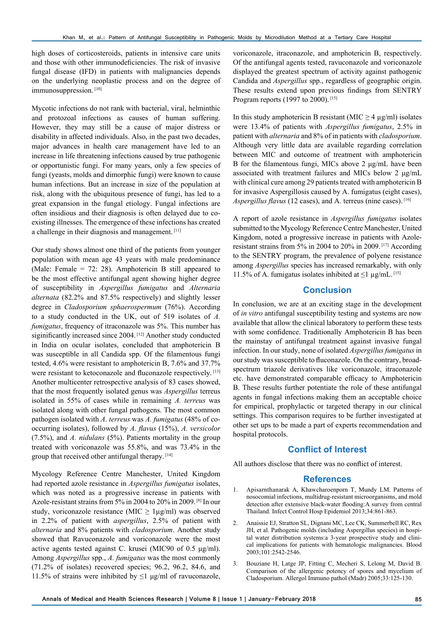high doses of corticosteroids, patients in intensive care units and those with other immunodeficiencies. The risk of invasive fungal disease (IFD) in patients with malignancies depends on the underlying neoplastic process and on the degree of immunosuppression. [10]

Mycotic infections do not rank with bacterial, viral, helminthic and protozoal infections as causes of human suffering. However, they may still be a cause of major distress or disability in affected individuals. Also, in the past two decades, major advances in health care management have led to an increase in life threatening infections caused by true pathogenic or opportunistic fungi. For many years, only a few species of fungi (yeasts, molds and dimorphic fungi) were known to cause human infections. But an increase in size of the population at risk, along with the ubiquitous presence of fungi, has led to a great expansion in the fungal etiology. Fungal infections are often insidious and their diagnosis is often delayed due to coexisting illnesses. The emergence of these infections has created a challenge in their diagnosis and management. [11]

Our study shows almost one third of the patients from younger population with mean age 43 years with male predominance (Male: Female = 72: 28). Amphotericin B still appeared to be the most effective antifungal agent showing higher degree of susceptibility in *Aspergillus fumigatus* and *Alternaria alternata* (82.2% and 87.5% respectively) and slightly lesser degree in *Cladosporium sphaerospermum* (76%). According to a study conducted in the UK, out of 519 isolates of *A. fumigatus*, frequency of itraconazole was 5%. This number has siginificantly increased since 2004. [12] Another study conducted in India on ocular isolates, concluded that amphotericin B was susceptible in all Candida spp. Of the filamentous fungi tested, 4.6% were resistant to amphotericin B, 7.6% and 37.7% were resistant to ketoconazole and fluconazole respectively. [13] Another multicenter retrospective analysis of 83 cases showed, that the most frequently isolated genus was *Aspergillus* terreus isolated in 55% of cases while in remaining *A. terreus* was isolated along with other fungal pathogens. The most common pathogen isolated with *A. terreus* was *A. fumigatus* (48% of cooccurring isolates), followed by *A. flavus* (15%), *A. versicolor* (7.5%), and *A. nidulans* (5%). Patients mortality in the group treated with voriconazole was 55.8%, and was 73.4% in the group that received other antifungal therapy. [14]

Mycology Reference Centre Manchester, United Kingdom had reported azole resistance in *Aspergillus fumigatus* isolates, which was noted as a progressive increase in patients with Azole-resistant strains from 5% in 2004 to 20% in 2009. [8] In our study, voriconazole resistance (MIC  $\geq 1\mu g/ml$ ) was observed in 2.2% of patient with *aspergillus*, 2.5% of patient with *alternaria* and 8% patients with *cladosporium*. Another study showed that Ravuconazole and voriconazole were the most active agents tested against C. krusei (MIC90 of 0.5 μg/ml). Among *Aspergillus* spp., *A. fumigatus* was the most commonly (71.2% of isolates) recovered species; 96.2, 96.2, 84.6, and 11.5% of strains were inhibited by  $\leq 1$  μg/ml of ravuconazole,

voriconazole, itraconazole, and amphotericin B, respectively. Of the antifungal agents tested, ravuconazole and voriconazole displayed the greatest spectrum of activity against pathogenic Candida and *Aspergillus* spp., regardless of geographic origin. These results extend upon previous findings from SENTRY Program reports (1997 to 2000).<sup>[15]</sup>

In this study amphotericin B resistant (MIC  $\geq$  4 µg/ml) isolates were 13.4% of patients with *Aspergillus fumigatus*, 2.5% in patient with *alternaria* and 8% of in patients with *cladosporium*. Although very little data are available regarding correlation between MIC and outcome of treatment with amphotericin B for the filamentous fungi, MICs above 2 μg/mL have been associated with treatment failures and MICs below 2 μg/mL with clinical cure among 29 patients treated with amphotericin B for invasive Aspergillosis caused by A. fumigatus (eight cases), *Aspergillus flavus* (12 cases), and A. terreus (nine cases). [16]

A report of azole resistance in *Aspergillus fumigatus* isolates submitted to the Mycology Reference Centre Manchester, United Kingdom, noted a progressive increase in patients with Azoleresistant strains from 5% in 2004 to 20% in 2009. [17] According to the SENTRY program, the prevalence of polyene resistance among *Aspergillus* species has increased remarkably, with only 11.5% of A. fumigatus isolates inhibited at  $\leq 1$  µg/mL. [15]

## **Conclusion**

In conclusion, we are at an exciting stage in the development of *in vitro* antifungal susceptibility testing and systems are now available that allow the clinical laboratory to perform these tests with some confidence. Traditionally Amphotericin B has been the mainstay of antifungal treatment against invasive fungal infection. In our study, none of isolated *Aspergillus fumigatus* in our study was susceptible to fluconazole. On the contrary, broadspectrum triazole derivatives like voriconazole, itraconazole etc. have demonstrated comparable efficacy to Amphotericin B. These results further potentiate the role of these antifungal agents in fungal infections making them an acceptable choice for empirical, prophylactic or targeted therapy in our clinical settings. This comparison requires to be further investigated at other set ups to be made a part of experts recommendation and hospital protocols.

#### **Conflict of Interest**

All authors disclose that there was no conflict of interest.

#### **References**

- 1. Apisarnthanarak A, Khawcharoenporn T, Mundy LM. Patterns of nosocomial infections, multidrug-resistant microorganisms, and mold detection after extensive black-water flooding:A survey from central Thailand. Infect Control Hosp Epidemiol 2013;34:861-863.
- 2. Anaissie EJ, Stratton SL, Dignani MC, Lee CK, Summerbell RC, Rex JH, et al. Pathogenic molds (including Aspergillus species) in hospital water distribution systems:a 3-year prospective study and clinical implications for patients with hematologic malignancies. Blood 2003;101:2542-2546.
- 3. Bouziane H, Latge JP, Fitting C, Mecheri S, Lelong M, David B. Comparison of the allergenic potency of spores and mycelium of Cladosporium. Allergol Immuno pathol (Madr) 2005;33:125-130.